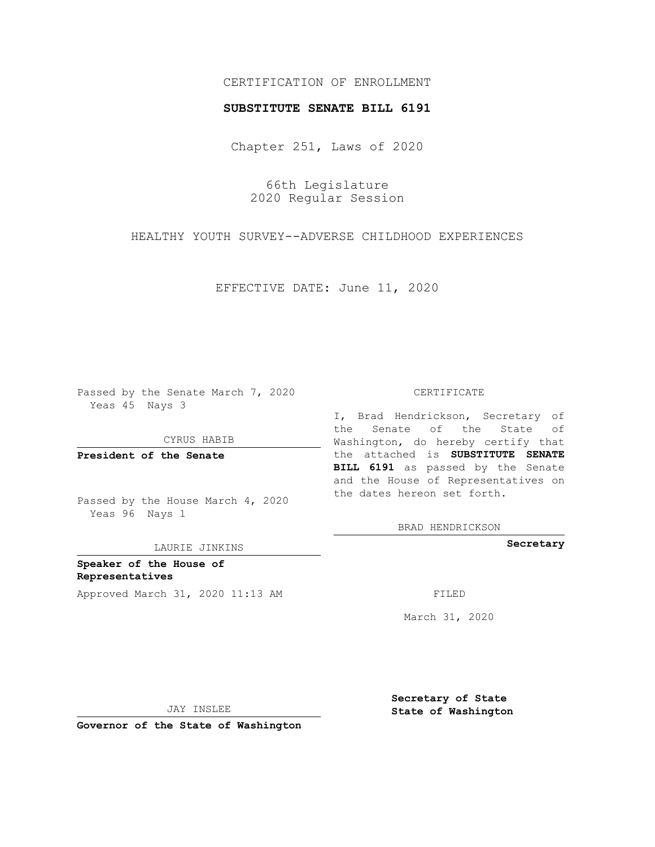## CERTIFICATION OF ENROLLMENT

## **SUBSTITUTE SENATE BILL 6191**

Chapter 251, Laws of 2020

66th Legislature 2020 Regular Session

HEALTHY YOUTH SURVEY--ADVERSE CHILDHOOD EXPERIENCES

EFFECTIVE DATE: June 11, 2020

Passed by the Senate March 7, 2020 Yeas 45 Nays 3

CYRUS HABIB

**President of the Senate**

Passed by the House March 4, 2020 Yeas 96 Nays 1

LAURIE JINKINS

**Speaker of the House of Representatives** Approved March 31, 2020 11:13 AM FILED

#### CERTIFICATE

I, Brad Hendrickson, Secretary of the Senate of the State of Washington, do hereby certify that the attached is **SUBSTITUTE SENATE BILL 6191** as passed by the Senate and the House of Representatives on the dates hereon set forth.

BRAD HENDRICKSON

**Secretary**

March 31, 2020

JAY INSLEE

**Governor of the State of Washington**

**Secretary of State State of Washington**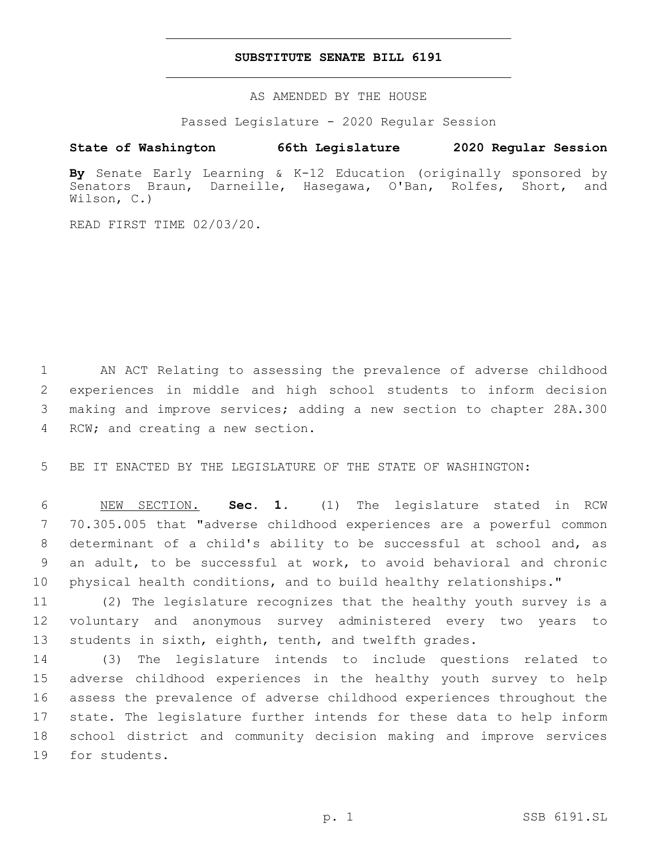## **SUBSTITUTE SENATE BILL 6191**

AS AMENDED BY THE HOUSE

Passed Legislature - 2020 Regular Session

# **State of Washington 66th Legislature 2020 Regular Session**

**By** Senate Early Learning & K-12 Education (originally sponsored by Senators Braun, Darneille, Hasegawa, O'Ban, Rolfes, Short, and Wilson, C.)

READ FIRST TIME 02/03/20.

 AN ACT Relating to assessing the prevalence of adverse childhood experiences in middle and high school students to inform decision making and improve services; adding a new section to chapter 28A.300 4 RCW; and creating a new section.

BE IT ENACTED BY THE LEGISLATURE OF THE STATE OF WASHINGTON:

 NEW SECTION. **Sec. 1.** (1) The legislature stated in RCW 70.305.005 that "adverse childhood experiences are a powerful common determinant of a child's ability to be successful at school and, as an adult, to be successful at work, to avoid behavioral and chronic physical health conditions, and to build healthy relationships."

 (2) The legislature recognizes that the healthy youth survey is a voluntary and anonymous survey administered every two years to students in sixth, eighth, tenth, and twelfth grades.

 (3) The legislature intends to include questions related to adverse childhood experiences in the healthy youth survey to help assess the prevalence of adverse childhood experiences throughout the state. The legislature further intends for these data to help inform school district and community decision making and improve services 19 for students.